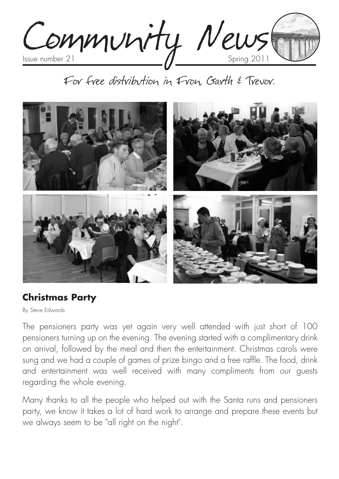Community News

For free distribution in Fron, Garth & Irevor.



### **Christmas Party**

By Steve Edwards

The pensioners party was yet again very well attended with just short of 100 pensioners turning up on the evening. The evening started with a complimentary drink on arrival, followed by the meal and then the entertainment. Christmas carols were sung and we had a couple of games of prize bingo and a free raffle. The food, drink and entertainment was well received with many compliments from our guests regarding the whole evening.

Many thanks to all the people who helped out with the Santa runs and pensioners party, we know it takes a lot of hard work to arrange and prepare these events but we always seem to be "all right on the night".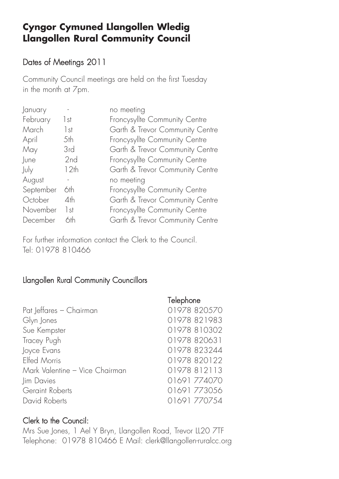#### **Cyngor Cymuned Llangollen Wledig Llangollen Rural Community Council**

#### Dates of Meetings 2011

Community Council meetings are held on the first Tuesday in the month at 7pm.

| January   |                 | no meeting                      |
|-----------|-----------------|---------------------------------|
| February  | 1st             | Froncysyllte Community Centre   |
| March     | 1st             | Garth & Trevor Community Centre |
| April     | .5th            | Froncysyllte Community Centre   |
| May       | 3rd             | Garth & Trevor Community Centre |
| June      | 2 <sub>nd</sub> | Froncysyllte Community Centre   |
| July      | 12th            | Garth & Trevor Community Centre |
| August    |                 | no meeting                      |
| September | 6th             | Froncysyllte Community Centre   |
| October   | 4th             | Garth & Trevor Community Centre |
| November  | l st            | Froncysyllte Community Centre   |
| December  | 6th             | Garth & Trevor Community Centre |

For further information contact the Clerk to the Council. Tel: 01978 810466

#### Llangollen Rural Community Councillors

|                                | Telephone    |  |
|--------------------------------|--------------|--|
| Pat Jeffares - Chairman        | 01978 820570 |  |
| Glyn Jones                     | 01978 821983 |  |
| Sue Kempster                   | 01978 810302 |  |
| Tracey Pugh                    | 01978 820631 |  |
| Joyce Evans                    | 01978 823244 |  |
| <b>Elfed Morris</b>            | 01978 820122 |  |
| Mark Valentine - Vice Chairman | 01978 812113 |  |
| Jim Davies                     | 01691774070  |  |
| Geraint Roberts                | 01691773056  |  |
| David Roberts                  | 01691770754  |  |
|                                |              |  |

#### Clerk to the Council:

Mrs Sue Jones, 1 Ael Y Bryn, Llangollen Road, Trevor LL20 7TF Telephone: 01978 810466 E Mail: clerk@llangollen-ruralcc.org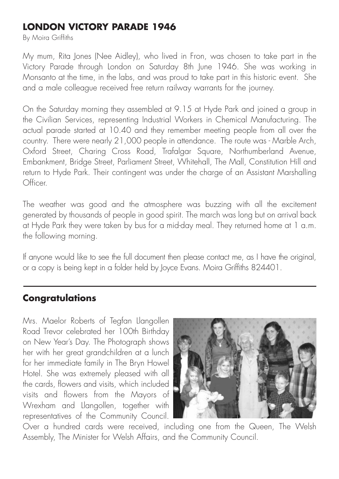#### **LONDON VICTORY PARADE 1946**

By Moira Griffiths

My mum, Rita Jones (Nee Aidley), who lived in Fron, was chosen to take part in the Victory Parade through London on Saturday 8th June 1946. She was working in Monsanto at the time, in the labs, and was proud to take part in this historic event. She and a male colleague received free return railway warrants for the journey.

On the Saturday morning they assembled at 9.15 at Hyde Park and joined a group in the Civilian Services, representing Industrial Workers in Chemical Manufacturing. The actual parade started at 10.40 and they remember meeting people from all over the country. There were nearly 21,000 people in attendance. The route was - Marble Arch, Oxford Street, Charing Cross Road, Trafalgar Square, Northumberland Avenue, Embankment, Bridge Street, Parliament Street, Whitehall, The Mall, Constitution Hill and return to Hyde Park. Their contingent was under the charge of an Assistant Marshalling Officer

The weather was good and the atmosphere was buzzing with all the excitement generated by thousands of people in good spirit. The march was long but on arrival back at Hyde Park they were taken by bus for a mid-day meal. They returned home at 1 a.m. the following morning.

If anyone would like to see the full document then please contact me, as I have the original, or a copy is being kept in a folder held by Joyce Evans. Moira Griffiths 824401.

#### **Congratulations**

Mrs. Maelor Roberts of Tegfan Llangollen Road Trevor celebrated her 100th Birthday on New Year's Day. The Photograph shows her with her great grandchildren at a lunch for her immediate family in The Bryn Howel Hotel. She was extremely pleased with all the cards, flowers and visits, which included visits and flowers from the Mayors of Wrexham and Llangollen, together with representatives of the Community Council.



Over a hundred cards were received, including one from the Queen, The Welsh Assembly, The Minister for Welsh Affairs, and the Community Council.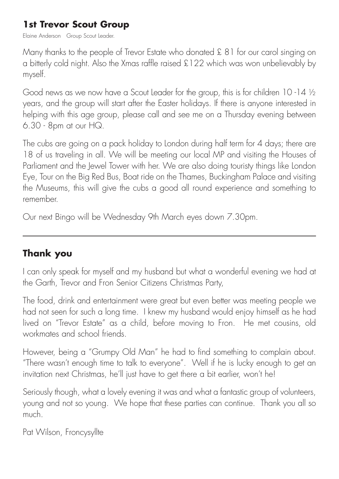#### **1st Trevor Scout Group**

Elaine Anderson Group Scout Leader.

Many thanks to the people of Trevor Estate who donated £ 81 for our carol singing on a bitterly cold night. Also the Xmas raffle raised £122 which was won unbelievably by myself.

Good news as we now have a Scout Leader for the group, this is for children 10 -14 ½ years, and the group will start after the Easter holidays. If there is anyone interested in helping with this age group, please call and see me on a Thursday evening between 6.30 - 8pm at our HQ.

The cubs are going on a pack holiday to London during half term for 4 days; there are 18 of us traveling in all. We will be meeting our local MP and visiting the Houses of Parliament and the Jewel Tower with her. We are also doing touristy things like London Eye, Tour on the Big Red Bus, Boat ride on the Thames, Buckingham Palace and visiting the Museums, this will give the cubs a good all round experience and something to remember.

Our next Bingo will be Wednesday 9th March eyes down 7.30pm.

## **Thank you**

I can only speak for myself and my husband but what a wonderful evening we had at the Garth, Trevor and Fron Senior Citizens Christmas Party,

The food, drink and entertainment were great but even better was meeting people we had not seen for such a long time. I knew my husband would enjoy himself as he had lived on "Trevor Estate" as a child, before moving to Fron. He met cousins, old workmates and school friends.

However, being a "Grumpy Old Man" he had to find something to complain about. "There wasn't enough time to talk to everyone". Well if he is lucky enough to get an invitation next Christmas, he'll just have to get there a bit earlier, won't he!

Seriously though, what a lovely evening it was and what a fantastic group of volunteers, young and not so young. We hope that these parties can continue. Thank you all so much.

Pat Wilson, Froncysyllte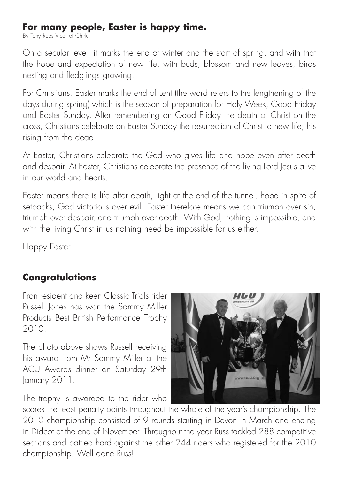#### **For many people, Easter is happy time.**

By Tony Rees Vicar of Chirk

On a secular level, it marks the end of winter and the start of spring, and with that the hope and expectation of new life, with buds, blossom and new leaves, birds nesting and fledglings growing.

For Christians, Easter marks the end of Lent (the word refers to the lengthening of the days during spring) which is the season of preparation for Holy Week, Good Friday and Easter Sunday. After remembering on Good Friday the death of Christ on the cross, Christians celebrate on Easter Sunday the resurrection of Christ to new life; his rising from the dead.

At Easter, Christians celebrate the God who gives life and hope even after death and despair. At Easter, Christians celebrate the presence of the living Lord Jesus alive in our world and hearts.

Easter means there is life after death, light at the end of the tunnel, hope in spite of setbacks, God victorious over evil. Easter therefore means we can triumph over sin, triumph over despair, and triumph over death. With God, nothing is impossible, and with the living Christ in us nothing need be impossible for us either.

Happy Easter!

### **Congratulations**

Fron resident and keen Classic Trials rider Russell Jones has won the Sammy Miller Products Best British Performance Trophy 2010.

The photo above shows Russell receiving his award from Mr Sammy Miller at the ACU Awards dinner on Saturday 29th January 2011.

The trophy is awarded to the rider who



scores the least penalty points throughout the whole of the year's championship. The 2010 championship consisted of 9 rounds starting in Devon in March and ending in Didcot at the end of November. Throughout the year Russ tackled 288 competitive sections and battled hard against the other 244 riders who registered for the 2010 championship. Well done Russ!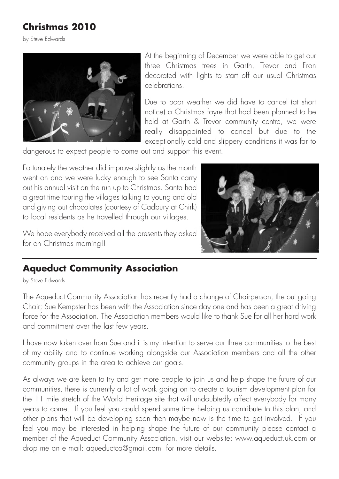## **Christmas 2010**

by Steve Edwards



At the beginning of December we were able to get our three Christmas trees in Garth, Trevor and Fron decorated with lights to start off our usual Christmas celebrations.

Due to poor weather we did have to cancel (at short notice) a Christmas fayre that had been planned to be held at Garth & Trevor community centre, we were really disappointed to cancel but due to the exceptionally cold and slippery conditions it was far to

dangerous to expect people to come out and support this event.

Fortunately the weather did improve slightly as the month went on and we were lucky enough to see Santa carry out his annual visit on the run up to Christmas. Santa had a great time touring the villages talking to young and old and giving out chocolates (courtesy of Cadbury at Chirk) to local residents as he travelled through our villages.

We hope everybody received all the presents they asked for on Christmas morning!!



### **Aqueduct Community Association**

by Steve Edwards

The Aqueduct Community Association has recently had a change of Chairperson, the out going Chair; Sue Kempster has been with the Association since day one and has been a great driving force for the Association. The Association members would like to thank Sue for all her hard work and commitment over the last few years.

I have now taken over from Sue and it is my intention to serve our three communities to the best of my ability and to continue working alongside our Association members and all the other community groups in the area to achieve our goals.

As always we are keen to try and get more people to join us and help shape the future of our communities, there is currently a lot of work going on to create a tourism development plan for the 11 mile stretch of the World Heritage site that will undoubtedly affect everybody for many years to come. If you feel you could spend some time helping us contribute to this plan, and other plans that will be developing soon then maybe now is the time to get involved. If you feel you may be interested in helping shape the future of our community please contact a member of the Aqueduct Community Association, visit our website: www.aqueduct.uk.com or drop me an e mail: aqueductca@gmail.com for more details.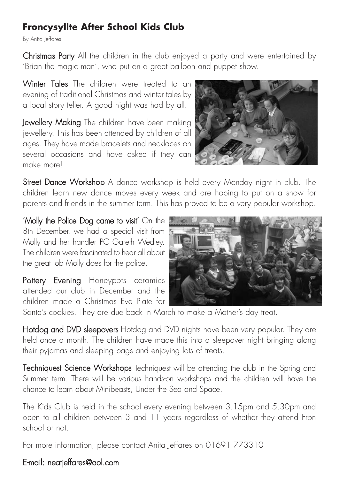### **Froncysyllte After School Kids Club**

By Anita Jeffares

Christmas Party All the children in the club enjoyed a party and were entertained by 'Brian the magic man', who put on a great balloon and puppet show.

Winter Tales The children were treated to an evening of traditional Christmas and winter tales by a local story teller. A good night was had by all.

Jewellery Making The children have been making jewellery. This has been attended by children of all ages. They have made bracelets and necklaces on several occasions and have asked if they can make more!

Street Dance Workshop A dance workshop is held every Monday night in club. The children learn new dance moves every week and are hoping to put on a show for parents and friends in the summer term. This has proved to be a very popular workshop.

'Molly the Police Dog came to visit' On the 8th December, we had a special visit from Molly and her handler PC Gareth Wedley. The children were fascinated to hear all about the great job Molly does for the police.

Pottery Evening Honeypots ceramics attended our club in December and the children made a Christmas Eve Plate for



Santa's cookies. They are due back in March to make a Mother's day treat.

Hotdog and DVD sleepovers Hotdog and DVD nights have been very popular. They are held once a month. The children have made this into a sleepover night bringing along their pyjamas and sleeping bags and enjoying lots of treats.

Techniquest Science Workshops Techniquest will be attending the club in the Spring and Summer term. There will be various hands-on workshops and the children will have the chance to learn about Minibeasts, Under the Sea and Space.

The Kids Club is held in the school every evening between 3.15pm and 5.30pm and open to all children between 3 and 11 years regardless of whether they attend Fron school or not.

For more information, please contact Anita Jeffares on 01691 773310

#### E-mail: neatjeffares@aol.com

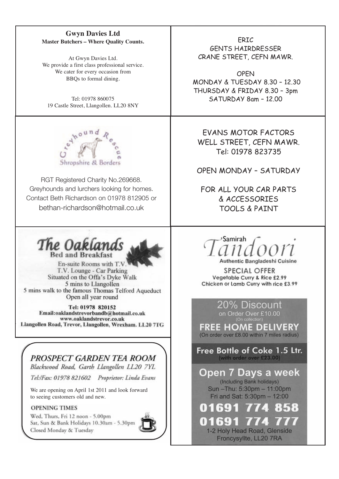#### **Master Butchers – Where Quality Counts. Gwyn Davies Ltd**

We provide a first class professional service. We cater for every occasion from BBQs to formal dining. BBQs to formal dining. At Gwyn Davies Ltd.

> **Tel: 01978 860075** Tel: 01978 860075 **19 Castle Street, Llangollen. LL20 8NY** 19 Castle Street, Llangollen. LL20 8NY



RGT Registered Charity No.269668. Greyhounds and lurchers looking for homes. bethan-richardson@hotmail.co.uk Contact Beth Richardson on 01978 812905 or



1 Ael Y Bryn, Llangollen Road, Trevor,

En-suite Rooms with T.V.<br>T.V. Lounge - Car Parking Situated on the Offa's Dyke Walk 5 mins to Llangollen 5 mins walk to the famous Thomas Telford Aqueduct<br>Open all year round spen an year round

Tel: 01978 820152<br>Email:oaklandstrevorbandb@hotmail.co.uk www.oaklandstrevor.co.uk<br>Liangollen Road, Trevor, Llangollen, Wrexham. LL20 7TG

n LLZU

Tel:/Fax: 01978 821602 Proprietor: Linda Evans

We are opening on April 1st  $2011$  and look forward to seeing customers old and new.

Wed, Thurs, Fri 12 noon - 5.00pm Sat, Sun & Bank Holidays 10.30am - 5.30pm<br>Closed Monday & Tuesday<br>
Closed Monday & Tuesday Closed Monday & Tuesday



WITH HUNDREDS OF PRODUCT AT OUR EXPERIMENT OF PRODUCT AT OUR EXPERIMENT OF PRODUCT AT OUR PRODUCT AT OUR PRODUCT AT OUR PRODUCT AT  $\sim$ 

ERIC GENTS HAIRDRESSER CRANE STREET, CEFN MAWR.

**OPEN** MONDAY & TUESDAY 8.30 – 12.30 THURSDAY & FRIDAY 8.30 – 3pm SATURDAY 8am – 12.00

Tel: 01978 823735 EVANS MOTOR FACTORS WELL STREET, CEFN MAWR.

OPEN MONDAY – SATURDAY

FOR ALL YOUR CAR PARTS the day of the day of the day of the day of the day of the day of the day of the day of the day of the day of the day of the day of the day of the day of the day of the day of the day of the day of the day of the day of th & ACCESSORIES TOOLS & PAINT

> **Samirah Authentic Bangladeshi Cuisine**

Open 7 days a week 8 till late.

**SPECIAL OFFER** 

Vegetable Curry & Rice £2.99 Chicken or Lamb Curry with rice £3.99

20% Discount on Order Over £10.00 **FREE HOME DELIVERY** (On order over £8.00 within 7 miles radius)  $PROSPECT GARDEN TEA~ROOM$  Free Bottle of Coke 1.5 Ltr.  $II_{100}$   $III_{100}$ Open 7 Days a week (Including Bank holidays) Sun - Thu: 5:30pm - 11:00pm  $\mathcal{G}$  and  $\mathcal{G}$  and  $\mathcal{G}$  and  $\mathcal{G}$  and  $\mathcal{G}$  and  $\mathcal{G}$  and  $\mathcal{G}$  and  $\mathcal{G}$  and  $\mathcal{G}$  and  $\mathcal{G}$  and  $\mathcal{G}$  and  $\mathcal{G}$  and  $\mathcal{G}$  and  $\mathcal{G}$  and  $\mathcal{G}$  and  $\mathcal{G}$  and  $\mathcal{G}$  and OPENING TIMES **CARGING THE SECTION CONTROL 01691 774 858**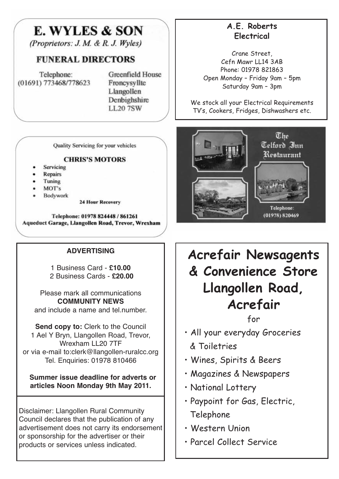# **E. WYLES & SON**

(Proprietors: J. M. & R. J. Wyles)

#### **FUNERAL DIRECTORS**

Telephone: (01691) 773468/778623 **Greenfield House** Froncysvllte Llangollen Denbighshire **LL207SW** 

Quality Servicing for your vehicles

#### **CHRIS'S MOTORS**

- Servicing
- **Repairs**
- Tuning
- MOT's
- **Bodywork**

Telephone: 01978 824448 / 861261 Aqueduct Garage, Llangollen Road, Trevor, Wrexham

#### **ADVERTISING**

1 Business Card - **£10.00** 2 Business Cards - **£20.00**

Please mark all communications **COMMUNITY NEWS** and include a name and tel.number.

**Send copy to:** Clerk to the Council 1 Ael Y Bryn, Llangollen Road, Trevor, Wrexham I I 20 7TF or via e-mail to:clerk@llangollen-ruralcc.org Tel. Enquiries: 01978 810466

#### **Summer issue deadline for adverts or articles Noon Monday 9th May 2011.**

Disclaimer: Llangollen Rural Community Council declares that the publication of any advertisement does not carry its endorsement or sponsorship for the advertiser or their products or services unless indicated.

#### **A.E. Roberts Electrical**

Crane Street, Cefn Mawr LL14 3AB Phone: 01978 821863 Open Monday – Friday 9am – 5pm Saturday 9am – 3pm

We stock all your Electrical Requirements TV's, Cookers, Fridges, Dishwashers etc.



**Acrefair Newsagents & Convenience Store Llangollen Road, Acrefair**

for

- All your everyday Groceries & Toiletries
- Wines, Spirits & Beers
- Magazines & Newspapers
- National Lottery
- Paypoint for Gas, Electric, Telephone
- Western Union
- Parcel Collect Service

**<sup>24</sup> Hour Recovery**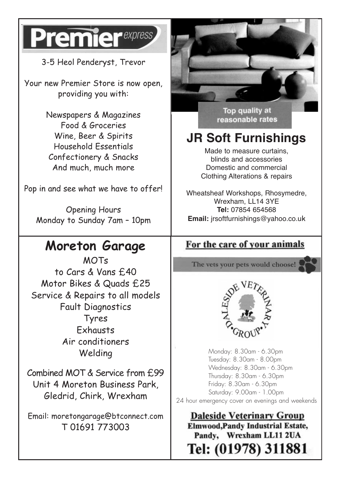## Premier express

3-5 Heol Penderyst, Trevor

Your new Premier Store is now open, providing you with:

> Newspapers & Magazines Food & Groceries Wine, Beer & Spirits Household Essentials Confectionery & Snacks And much, much more

Pop in and see what we have to offer!

Opening Hours Monday to Sunday 7am – 10pm

# **Moreton Garage**

MOTs to Cars & Vans £40 Motor Bikes & Quads £25 Service & Repairs to all models Fault Diagnostics Tyres **Exhausts** Air conditioners Welding

Combined MOT & Service from £99 Unit 4 Moreton Business Park, Gledrid, Chirk, Wrexham

Email: moretongarage@btconnect.com T 01691 773003



reasonable rates

# **JR Soft Furnishings**

Made to measure curtains, blinds and accessories Domestic and commercial Clothing Alterations & repairs

Wheatsheaf Workshops, Rhosymedre, Wrexham, LL14 3YE **Tel:** 07854 654568 **Email:** jrsoftfurnishings@yahoo.co.uk

### For the care of your animals

The vets your pets would choose!



Monday: 8.30am - 6.30pm Tuesday: 8.30am - 8.00pm Wednesday: 8.30am - 6.30pm Thursday: 8.30am - 6.30pm Friday: 8.30am - 6.30pm Saturday: 9.00am - 1.00pm 24 hour emergency cover on evenings and weekends

**Daleside Veterinary Group Elmwood, Pandy Industrial Estate,** Pandy, Wrexham LL11 2UA Tel: (01978) 311881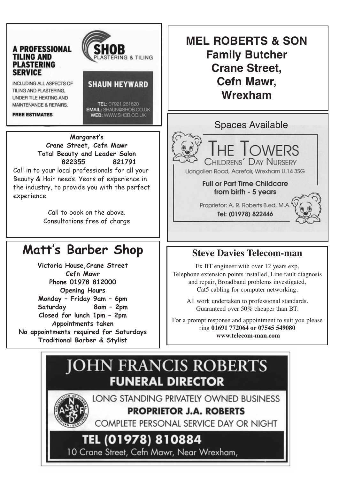#### **A PROFESSIONAL TILING AND PLASTERING SERVICE**

INCLUDING ALL ASPECTS OF TILING AND PLASTERING. **UNDER TILE HEATING AND MAINTENANCE & REPAIRS.** 

**FREE ESTIMATES** 

TEL: 07921 261620 **EMAIL: SHAUN@SHOB.CO.UK** WEB: WWW.SHOB.CO.UK

**SHAUN HEYWARD** 

ERING & TILING

**Margaret's Crane Street, Cefn Mawr Total Beauty and Leader Salon 822355 821791**

Call in to your local professionals for all your Beauty & Hair needs. Years of experience in the industry, to provide you with the perfect experience.

> Call to book on the above. Consultations free of charge

# **Matt's Barber Shop**

**Victoria House,Crane Street Cefn Mawr Phone 01978 812000 Opening Hours Monday – Friday 9am – 6pm Saturday 8am – 2pm Closed for lunch 1pm – 2pm Appointments taken No appointments required for Saturdays Traditional Barber & Stylist**

**MEL ROBERTS & SON Family Butcher Crane Street, Cefn Mawr, Wrexham**

Spaces Available TOWERS HILDRENS' DAY NURSERY Llangollen Road, Acrefair, Wrexham LL14 3SG **Full or Part Time Childcare** from birth - 5 years Proprietor: A. R. Roberts B.ed, M.A. Tel: (01978) 822446

### **Steve Davies Telecom-man**

Ex BT engineer with over 12 years exp, Telephone extension points installed, Line fault diagnosis and repair, Broadband problems investigated, Cat5 cabling for computer networking.

All work undertaken to professional standards. Guaranteed over 50% cheaper than BT.

For a prompt response and appointment to suit you please ring **01691 772064 or 07545 549080 www.telecom-man.com**

# **JOHN FRANCIS ROBERTS FUNERAL DIRECTOR**

LONG STANDING PRIVATELY OWNED BUSINESS

**PROPRIETOR J.A. ROBERTS** 

COMPLETE PERSONAL SERVICE DAY OR NIGHT

TEL (01978) 810884 10 Crane Street, Cefn Mawr, Near Wrexham,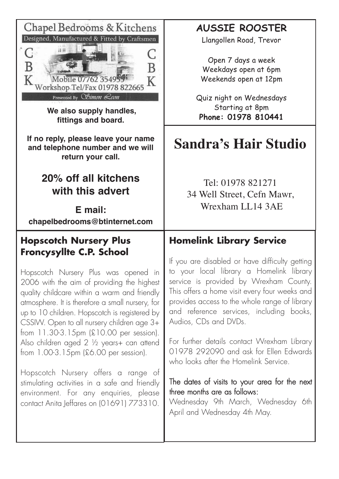

### **AUSSIE ROOSTER**

Llangollen Road, Trevor

Open 7 days a week Weekdays open at 6pm Weekends open at 12pm

Quiz night on Wednesdays Starting at 8pm **Phone: 01978 810441**

# **Sandra's Hair Studio**

Tel: 01978 821271 34 Well Street, Cefn Mawr, Wrexham LL14 3AE

## **Homelink Library Service**

If you are disabled or have difficulty getting to your local library a Homelink library service is provided by Wrexham County. This offers a home visit every four weeks and provides access to the whole range of library and reference services, including books, Audios, CDs and DVDs.

For further details contact Wrexham Library 01978 292090 and ask for Ellen Edwards who looks after the Homelink Service.

#### The dates of visits to your area for the next three months are as follows:

Wednesday 9th March, Wednesday 6th April and Wednesday 4th May.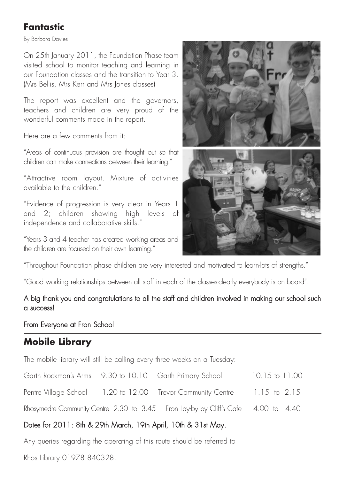### **Fantastic**

By Barbara Davies

On 25th January 2011, the Foundation Phase team visited school to monitor teaching and learning in our Foundation classes and the transition to Year 3. (Mrs Bellis, Mrs Kerr and Mrs Jones classes)

The report was excellent and the governors, teachers and children are very proud of the wonderful comments made in the report.

Here are a few comments from it:-

"Areas of continuous provision are thought out so that children can make connections between their learning."

"Attractive room layout. Mixture of activities available to the children."

"Evidence of progression is very clear in Years 1 and 2; children showing high levels of independence and collaborative skills."

"Years 3 and 4 teacher has created working areas and the children are focused on their own learning."



"Throughout Foundation phase children are very interested and motivated to learn-lots of strengths."

"Good working relationships between all staff in each of the classes-clearly everybody is on board".

#### A big thank you and congratulations to all the staff and children involved in making our school such a success!

#### From Everyone at Fron School

### **Mobile Library**

The mobile library will still be calling every three weeks on a Tuesday:

| Garth Rockman's Arms 9.30 to 10.10 Garth Primary School |                                                                                   | 10.15 to 11.00 |  |
|---------------------------------------------------------|-----------------------------------------------------------------------------------|----------------|--|
|                                                         | Pentre Village School 1.20 to 12.00 Trevor Community Centre 1.15 to 2.15          |                |  |
|                                                         | Rhosymedre Community Centre 2.30 to 3.45 Fron Lay-by by Cliff's Cafe 4.00 to 4.40 |                |  |

#### Dates for 2011: 8th & 29th March, 19th April, 10th & 31st May.

Any queries regarding the operating of this route should be referred to

Rhos Library 01978 840328.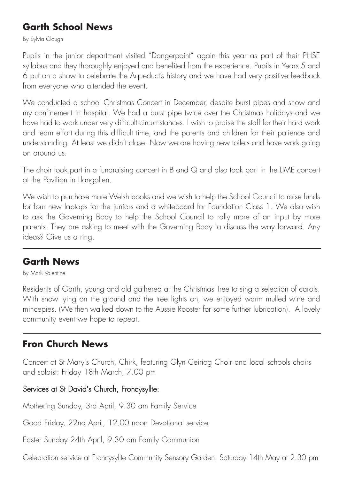### **Garth School News**

By Sylvia Clough

Pupils in the junior department visited "Dangerpoint" again this year as part of their PHSE syllabus and they thoroughly enjoyed and benefited from the experience. Pupils in Years 5 and 6 put on a show to celebrate the Aqueduct's history and we have had very positive feedback from everyone who attended the event.

We conducted a school Christmas Concert in December, despite burst pipes and snow and my confinement in hospital. We had a burst pipe twice over the Christmas holidays and we have had to work under very difficult circumstances. I wish to praise the staff for their hard work and team effort during this difficult time, and the parents and children for their patience and understanding. At least we didn't close. Now we are having new toilets and have work going on around us.

The choir took part in a fundraising concert in B and Q and also took part in the LIME concert at the Pavilion in Llangollen.

We wish to purchase more Welsh books and we wish to help the School Council to raise funds for four new laptops for the juniors and a whiteboard for Foundation Class 1. We also wish to ask the Governing Body to help the School Council to rally more of an input by more parents. They are asking to meet with the Governing Body to discuss the way forward. Any ideas? Give us a ring.

#### **Garth News**

By Mark Valentine

Residents of Garth, young and old gathered at the Christmas Tree to sing a selection of carols. With snow lying on the ground and the tree lights on, we enjoyed warm mulled wine and mincepies. (We then walked down to the Aussie Rooster for some further lubrication). A lovely community event we hope to repeat.

#### **Fron Church News**

Concert at St Mary's Church, Chirk, featuring Glyn Ceiriog Choir and local schools choirs and soloist: Friday 18th March, 7.00 pm

#### Services at St David's Church, Froncysyllte:

Mothering Sunday, 3rd April, 9.30 am Family Service

Good Friday, 22nd April, 12.00 noon Devotional service

Easter Sunday 24th April, 9.30 am Family Communion

Celebration service at Froncysyllte Community Sensory Garden: Saturday 14th May at 2.30 pm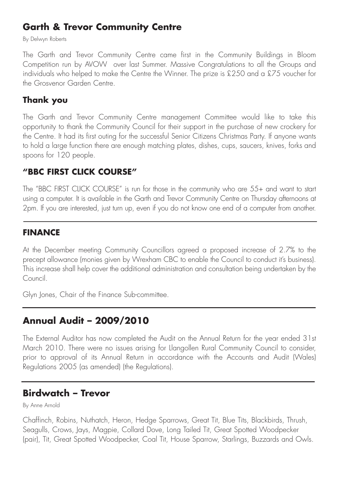### **Garth & Trevor Community Centre**

By Delwyn Roberts

The Garth and Trevor Community Centre came first in the Community Buildings in Bloom Competition run by AVOW over last Summer. Massive Congratulations to all the Groups and individuals who helped to make the Centre the Winner. The prize is £250 and a £75 voucher for the Grosvenor Garden Centre.

#### **Thank you**

The Garth and Trevor Community Centre management Committee would like to take this opportunity to thank the Community Council for their support in the purchase of new crockery for the Centre. It had its first outing for the successful Senior Citizens Christmas Party. If anyone wants to hold a large function there are enough matching plates, dishes, cups, saucers, knives, forks and spoons for 120 people.

#### **"BBC FIRST CLICK COURSE"**

The "BBC FIRST CLICK COURSE" is run for those in the community who are 55+ and want to start using a computer. It is available in the Garth and Trevor Community Centre on Thursday afternoons at 2pm. If you are interested, just turn up, even if you do not know one end of a computer from another.

#### **FINANCE**

At the December meeting Community Councillors agreed a proposed increase of 2.7% to the precept allowance (monies given by Wrexham CBC to enable the Council to conduct it's business). This increase shall help cover the additional administration and consultation being undertaken by the Council.

Glyn Jones, Chair of the Finance Sub-committee.

### **Annual Audit – 2009/2010**

The External Auditor has now completed the Audit on the Annual Return for the year ended 31st March 2010. There were no issues arising for Llangollen Rural Community Council to consider, prior to approval of its Annual Return in accordance with the Accounts and Audit (Wales) Regulations 2005 (as amended) (the Regulations).

#### **Birdwatch – Trevor**

By Anne Arnold

Chaffinch, Robins, Nuthatch, Heron, Hedge Sparrows, Great Tit, Blue Tits, Blackbirds, Thrush, Seagulls, Crows, Jays, Magpie, Collard Dove, Long Tailed Tit, Great Spotted Woodpecker (pair), Tit, Great Spotted Woodpecker, Coal Tit, House Sparrow, Starlings, Buzzards and Owls.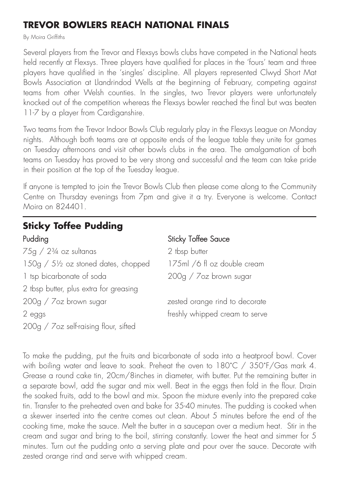#### **TREVOR BOWLERS REACH NATIONAL FINALS**

By Moira Griffiths

Several players from the Trevor and Flexsys bowls clubs have competed in the National heats held recently at Flexsys. Three players have qualified for places in the 'fours' team and three players have qualified in the 'singles' discipline. All players represented Clwyd Short Mat Bowls Association at Llandrindod Wells at the beginning of February, competing against teams from other Welsh counties. In the singles, two Trevor players were unfortunately knocked out of the competition whereas the Flexsys bowler reached the final but was beaten 11-7 by a player from Cardiganshire.

Two teams from the Trevor Indoor Bowls Club regularly play in the Flexsys League on Monday nights. Although both teams are at opposite ends of the league table they unite for games on Tuesday afternoons and visit other bowls clubs in the area. The amalgamation of both teams on Tuesday has proved to be very strong and successful and the team can take pride in their position at the top of the Tuesday league.

If anyone is tempted to join the Trevor Bowls Club then please come along to the Community Centre on Thursday evenings from 7pm and give it a try. Everyone is welcome. Contact Moira on 824401.

### **Sticky Toffee Pudding** Pudding **Sticky Toffee Sauce**

75g / 2¾ oz sultanas 2 tbsp butter 150g / 5½ oz stoned dates, chopped 175ml /6 fl oz double cream 1 tsp bicarbonate of soda 200g / 7oz brown sugar 2 tbsp butter, plus extra for greasing 200g / 7oz brown sugar zested orange rind to decorate 2 eggs freshly whipped cream to serve 200g / 7oz self-raising flour, sifted

To make the pudding, put the fruits and bicarbonate of soda into a heatproof bowl. Cover with boiling water and leave to soak. Preheat the oven to 180°C / 350°F/Gas mark 4. Grease a round cake tin, 20cm/8inches in diameter, with butter. Put the remaining butter in a separate bowl, add the sugar and mix well. Beat in the eggs then fold in the flour. Drain the soaked fruits, add to the bowl and mix. Spoon the mixture evenly into the prepared cake tin. Transfer to the preheated oven and bake for 35-40 minutes. The pudding is cooked when a skewer inserted into the centre comes out clean. About 5 minutes before the end of the cooking time, make the sauce. Melt the butter in a saucepan over a medium heat. Stir in the cream and sugar and bring to the boil, stirring constantly. Lower the heat and simmer for 5 minutes. Turn out the pudding onto a serving plate and pour over the sauce. Decorate with zested orange rind and serve with whipped cream.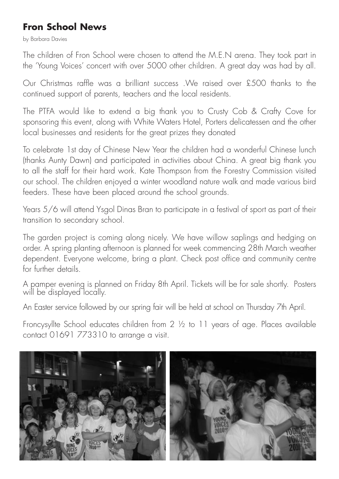### **Fron School News**

by Barbara Davies

The children of Fron School were chosen to attend the M.E.N arena. They took part in the 'Young Voices' concert with over 5000 other children. A great day was had by all.

Our Christmas raffle was a brilliant success .We raised over £500 thanks to the continued support of parents, teachers and the local residents.

The PTFA would like to extend a big thank you to Crusty Cob & Crafty Cove for sponsoring this event, along with White Waters Hotel, Porters delicatessen and the other local businesses and residents for the great prizes they donated

To celebrate 1st day of Chinese New Year the children had a wonderful Chinese lunch (thanks Aunty Dawn) and participated in activities about China. A great big thank you to all the staff for their hard work. Kate Thompson from the Forestry Commission visited our school. The children enjoyed a winter woodland nature walk and made various bird feeders. These have been placed around the school grounds.

Years 5/6 will attend Ysgol Dinas Bran to participate in a festival of sport as part of their transition to secondary school.

The garden project is coming along nicely. We have willow saplings and hedging on order. A spring planting afternoon is planned for week commencing 28th March weather dependent. Everyone welcome, bring a plant. Check post office and community centre for further details.

A pamper evening is planned on Friday 8th April. Tickets will be for sale shortly. Posters will be displayed locally.

An Easter service followed by our spring fair will be held at school on Thursday 7th April.

Froncysyllte School educates children from 2 ½ to 11 years of age. Places available contact 01691 773310 to arrange a visit.

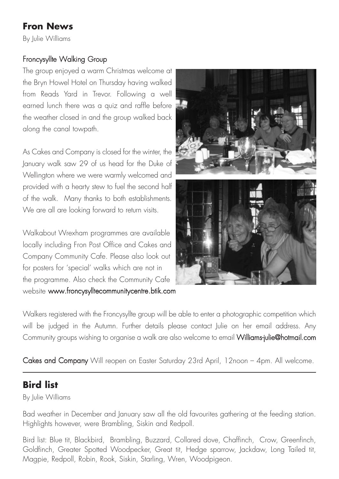#### **Fron News**

By Julie Williams

#### Froncysyllte Walking Group

The group enjoyed a warm Christmas welcome at the Bryn Howel Hotel on Thursday having walked from Reads Yard in Trevor. Following a well earned lunch there was a quiz and raffle before the weather closed in and the group walked back along the canal towpath.

As Cakes and Company is closed for the winter, the January walk saw 29 of us head for the Duke of Wellington where we were warmly welcomed and provided with a hearty stew to fuel the second half of the walk. Many thanks to both establishments. We are all are looking forward to return visits.

Walkabout Wrexham programmes are available locally including Fron Post Office and Cakes and Company Community Cafe. Please also look out for posters for 'special' walks which are not in the programme. Also check the Community Cafe website www.froncysylltecommunitycentre.btik.com



Walkers registered with the Froncysyllte group will be able to enter a photographic competition which will be judged in the Autumn. Further details please contact Julie on her email address. Any Community groups wishing to organise a walk are also welcome to email Williams-julie@hotmail.com

Cakes and Company Will reopen on Easter Saturday 23rd April, 12noon - 4pm. All welcome.

### **Bird list**

By Julie Williams

Bad weather in December and January saw all the old favourites gathering at the feeding station. Highlights however, were Brambling, Siskin and Redpoll.

Bird list: Blue tit, Blackbird, Brambling, Buzzard, Collared dove, Chaffinch, Crow, Greenfinch, Goldfinch, Greater Spotted Woodpecker, Great tit, Hedge sparrow, Jackdaw, Long Tailed tit, Magpie, Redpoll, Robin, Rook, Siskin, Starling, Wren, Woodpigeon.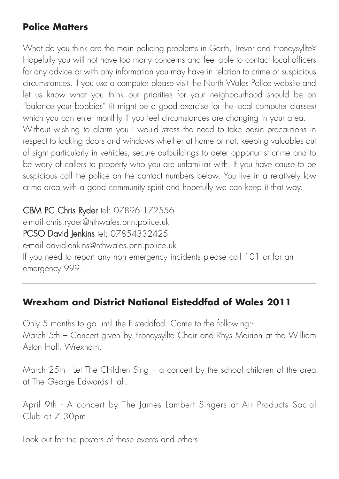### **Police Matters**

What do you think are the main policing problems in Garth, Trevor and Froncysyllte? Hopefully you will not have too many concerns and feel able to contact local officers for any advice or with any information you may have in relation to crime or suspicious circumstances. If you use a computer please visit the North Wales Police website and let us know what you think our priorities for your neighbourhood should be on "balance your bobbies" (it might be a good exercise for the local computer classes) which you can enter monthly if you feel circumstances are changing in your area. Without wishing to alarm you I would stress the need to take basic precautions in respect to locking doors and windows whether at home or not, keeping valuables out of sight particularly in vehicles, secure outbuildings to deter opportunist crime and to be wary of callers to property who you are unfamiliar with. If you have cause to be suspicious call the police on the contact numbers below. You live in a relatively low crime area with a good community spirit and hopefully we can keep it that way.

#### CBM PC Chris Ryder tel: 07896 172556

e-mail chris.ryder@nthwales.pnn.police.uk PCSO David Jenkins tel: 07854332425 e-mail davidjenkins@nthwales.pnn.police.uk If you need to report any non emergency incidents please call 101 or for an emergency 999.

### **Wrexham and District National Eisteddfod of Wales 2011**

Only 5 months to go until the Eisteddfod. Come to the following:- March 5th – Concert given by Froncysyllte Choir and Rhys Meirion at the William Aston Hall, Wrexham.

March 25th - Let The Children Sing – a concert by the school children of the area at The George Edwards Hall.

April 9th - A concert by The James Lambert Singers at Air Products Social Club at 7.30pm.

Look out for the posters of these events and others.